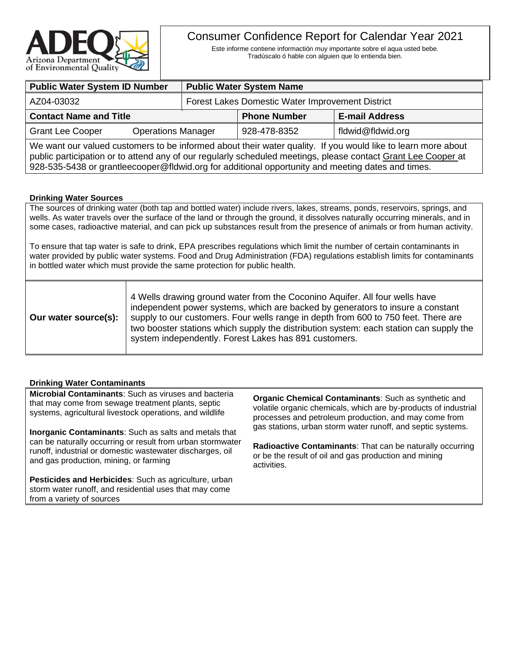

# Consumer Confidence Report for Calendar Year 2021

Este informe contiene informactión muy importante sobre el aqua usted bebe. Tradúscalo ó hable con alguien que lo entienda bien.

| <b>Public Water System ID Number</b>                                                                         |                                                  | <b>Public Water System Name</b> |                       |  |
|--------------------------------------------------------------------------------------------------------------|--------------------------------------------------|---------------------------------|-----------------------|--|
| AZ04-03032                                                                                                   | Forest Lakes Domestic Water Improvement District |                                 |                       |  |
| <b>Contact Name and Title</b>                                                                                |                                                  | <b>Phone Number</b>             | <b>E-mail Address</b> |  |
| <b>Grant Lee Cooper</b><br><b>Operations Manager</b>                                                         |                                                  | 928-478-8352                    | fldwid@fldwid.org     |  |
| We want our valued customers to be informed about their water quality. If you would like to learn more about |                                                  |                                 |                       |  |

public participation or to attend any of our regularly scheduled meetings, please contact Grant Lee Cooper at 928-535-5438 or grantleecooper@fldwid.org for additional opportunity and meeting dates and times.

## **Drinking Water Sources**

The sources of drinking water (both tap and bottled water) include rivers, lakes, streams, ponds, reservoirs, springs, and wells. As water travels over the surface of the land or through the ground, it dissolves naturally occurring minerals, and in some cases, radioactive material, and can pick up substances result from the presence of animals or from human activity.

To ensure that tap water is safe to drink, EPA prescribes regulations which limit the number of certain contaminants in water provided by public water systems. Food and Drug Administration (FDA) regulations establish limits for contaminants in bottled water which must provide the same protection for public health.

| Our water source(s): | 4 Wells drawing ground water from the Coconino Aguifer. All four wells have<br>independent power systems, which are backed by generators to insure a constant<br>supply to our customers. Four wells range in depth from 600 to 750 feet. There are<br>two booster stations which supply the distribution system: each station can supply the<br>system independently. Forest Lakes has 891 customers. |
|----------------------|--------------------------------------------------------------------------------------------------------------------------------------------------------------------------------------------------------------------------------------------------------------------------------------------------------------------------------------------------------------------------------------------------------|
|----------------------|--------------------------------------------------------------------------------------------------------------------------------------------------------------------------------------------------------------------------------------------------------------------------------------------------------------------------------------------------------------------------------------------------------|

## **Drinking Water Contaminants**

**Microbial Contaminants**: Such as viruses and bacteria that may come from sewage treatment plants, septic systems, agricultural livestock operations, and wildlife

**Inorganic Contaminants**: Such as salts and metals that can be naturally occurring or result from urban stormwater runoff, industrial or domestic wastewater discharges, oil and gas production, mining, or farming

**Pesticides and Herbicides**: Such as agriculture, urban storm water runoff, and residential uses that may come from a variety of sources

**Organic Chemical Contaminants**: Such as synthetic and volatile organic chemicals, which are by-products of industrial processes and petroleum production, and may come from gas stations, urban storm water runoff, and septic systems.

**Radioactive Contaminants**: That can be naturally occurring or be the result of oil and gas production and mining activities.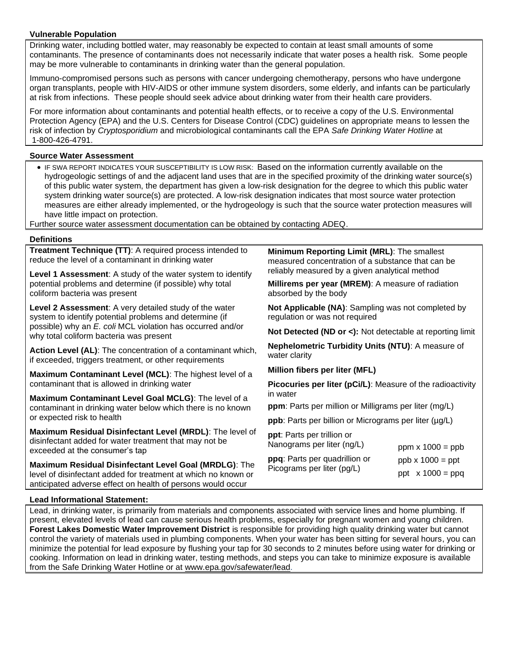#### **Vulnerable Population**

Drinking water, including bottled water, may reasonably be expected to contain at least small amounts of some contaminants. The presence of contaminants does not necessarily indicate that water poses a health risk. Some people may be more vulnerable to contaminants in drinking water than the general population.

Immuno-compromised persons such as persons with cancer undergoing chemotherapy, persons who have undergone organ transplants, people with HIV-AIDS or other immune system disorders, some elderly, and infants can be particularly at risk from infections. These people should seek advice about drinking water from their health care providers.

For more information about contaminants and potential health effects, or to receive a copy of the U.S. Environmental Protection Agency (EPA) and the U.S. Centers for Disease Control (CDC) guidelines on appropriate means to lessen the risk of infection by *Cryptosporidium* and microbiological contaminants call the EPA *Safe Drinking Water Hotline* at 1-800-426-4791.

#### **Source Water Assessment**

• IF SWA REPORT INDICATES YOUR SUSCEPTIBILITY IS LOW RISK: Based on the information currently available on the hydrogeologic settings of and the adjacent land uses that are in the specified proximity of the drinking water source(s) of this public water system, the department has given a low-risk designation for the degree to which this public water system drinking water source(s) are protected. A low-risk designation indicates that most source water protection measures are either already implemented, or the hydrogeology is such that the source water protection measures will have little impact on protection.

Further source water assessment documentation can be obtained by contacting ADEQ.

#### **Definitions**

**Treatment Technique (TT)**: A required process intended to reduce the level of a contaminant in drinking water

**Level 1 Assessment**: A study of the water system to identify potential problems and determine (if possible) why total coliform bacteria was present

**Level 2 Assessment**: A very detailed study of the water system to identify potential problems and determine (if possible) why an *E. coli* MCL violation has occurred and/or why total coliform bacteria was present

**Action Level (AL)**: The concentration of a contaminant which, if exceeded, triggers treatment, or other requirements

**Maximum Contaminant Level (MCL)**: The highest level of a contaminant that is allowed in drinking water

**Maximum Contaminant Level Goal MCLG)**: The level of a contaminant in drinking water below which there is no known or expected risk to health

**Maximum Residual Disinfectant Level (MRDL)**: The level of disinfectant added for water treatment that may not be exceeded at the consumer's tap

**Maximum Residual Disinfectant Level Goal (MRDLG)**: The level of disinfectant added for treatment at which no known or anticipated adverse effect on health of persons would occur

**Minimum Reporting Limit (MRL)**: The smallest measured concentration of a substance that can be reliably measured by a given analytical method

**Millirems per year (MREM)**: A measure of radiation absorbed by the body

**Not Applicable (NA)**: Sampling was not completed by regulation or was not required

**Not Detected (ND or <):** Not detectable at reporting limit

**Nephelometric Turbidity Units (NTU)**: A measure of water clarity

**Million fibers per liter (MFL)**

**Picocuries per liter (pCi/L)**: Measure of the radioactivity in water

ppm  $x 1000 =$  ppb

**ppm**: Parts per million or Milligrams per liter (mg/L)

**ppb**: Parts per billion or Micrograms per liter (µg/L)

**ppt**: Parts per trillion or Nanograms per liter (ng/L)

**ppq**: Parts per quadrillion or Picograms per liter (pg/L)  $ppb \times 1000 = ppt$ ppt  $x 1000 = ppq$ 

#### **Lead Informational Statement:**

Lead, in drinking water, is primarily from materials and components associated with service lines and home plumbing. If present, elevated levels of lead can cause serious health problems, especially for pregnant women and young children. **Forest Lakes Domestic Water Improvement District** is responsible for providing high quality drinking water but cannot control the variety of materials used in plumbing components. When your water has been sitting for several hours, you can minimize the potential for lead exposure by flushing your tap for 30 seconds to 2 minutes before using water for drinking or cooking. Information on lead in drinking water, testing methods, and steps you can take to minimize exposure is available from the Safe Drinking Water Hotline or at [www.epa.gov/safewater/lead.](http://www.epa.gov/safewater/lead)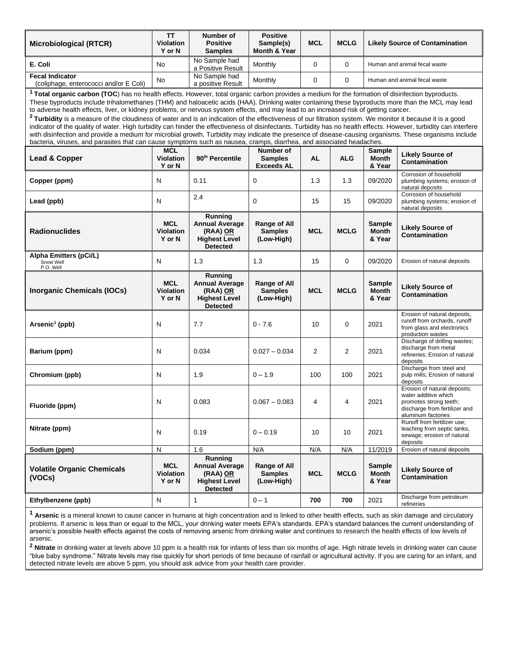| <b>Microbiological (RTCR)</b>                                                                                                                                                                                                                                                                                                                                                                                                                                                                                                                                                                                                                                                                                                                                                                                                                                                                                                                                                                                                                                                              | <b>TT</b><br>Violation<br>Y or N         | Number of<br><b>Positive</b><br><b>Samples</b>                                                 | <b>Positive</b><br>Sample(s)<br>Month & Year        | <b>MCL</b>     | <b>MCLG</b> | <b>Likely Source of Contamination</b> |                                                                                                                                       |
|--------------------------------------------------------------------------------------------------------------------------------------------------------------------------------------------------------------------------------------------------------------------------------------------------------------------------------------------------------------------------------------------------------------------------------------------------------------------------------------------------------------------------------------------------------------------------------------------------------------------------------------------------------------------------------------------------------------------------------------------------------------------------------------------------------------------------------------------------------------------------------------------------------------------------------------------------------------------------------------------------------------------------------------------------------------------------------------------|------------------------------------------|------------------------------------------------------------------------------------------------|-----------------------------------------------------|----------------|-------------|---------------------------------------|---------------------------------------------------------------------------------------------------------------------------------------|
| E. Coli                                                                                                                                                                                                                                                                                                                                                                                                                                                                                                                                                                                                                                                                                                                                                                                                                                                                                                                                                                                                                                                                                    | No.                                      | No Sample had<br>a Positive Result                                                             | Monthly                                             | 0              | $\Omega$    |                                       | Human and animal fecal waste                                                                                                          |
| <b>Fecal Indicator</b><br>(coliphage, enterococci and/or E Coli)                                                                                                                                                                                                                                                                                                                                                                                                                                                                                                                                                                                                                                                                                                                                                                                                                                                                                                                                                                                                                           | No                                       | No Sample had<br>a positive Result                                                             | Monthly                                             | 0              | 0           | Human and animal fecal waste          |                                                                                                                                       |
| <sup>1</sup> Total organic carbon (TOC) has no health effects. However, total organic carbon provides a medium for the formation of disinfection byproducts.<br>These byproducts include trihalomethanes (THM) and haloacetic acids (HAA). Drinking water containing these byproducts more than the MCL may lead<br>to adverse health effects, liver, or kidney problems, or nervous system effects, and may lead to an increased risk of getting cancer.<br><sup>2</sup> Turbidity is a measure of the cloudiness of water and is an indication of the effectiveness of our filtration system. We monitor it because it is a good<br>indicator of the quality of water. High turbidity can hinder the effectiveness of disinfectants. Turbidity has no health effects. However, turbidity can interfere<br>with disinfection and provide a medium for microbial growth. Turbidity may indicate the presence of disease-causing organisms. These organisms include<br>bacteria, viruses, and parasites that can cause symptoms such as nausea, cramps, diarrhea, and associated headaches. |                                          |                                                                                                |                                                     |                |             |                                       |                                                                                                                                       |
| <b>Lead &amp; Copper</b>                                                                                                                                                                                                                                                                                                                                                                                                                                                                                                                                                                                                                                                                                                                                                                                                                                                                                                                                                                                                                                                                   | <b>MCL</b><br><b>Violation</b><br>Y or N | 90 <sup>th</sup> Percentile                                                                    | Number of<br><b>Samples</b><br><b>Exceeds AL</b>    | <b>AL</b>      | <b>ALG</b>  | Sample<br>Month<br>& Year             | <b>Likely Source of</b><br>Contamination                                                                                              |
| Copper (ppm)                                                                                                                                                                                                                                                                                                                                                                                                                                                                                                                                                                                                                                                                                                                                                                                                                                                                                                                                                                                                                                                                               | N                                        | 0.11                                                                                           | $\mathbf 0$                                         | 1.3            | 1.3         | 09/2020                               | Corrosion of household<br>plumbing systems; erosion of<br>natural deposits                                                            |
| Lead (ppb)                                                                                                                                                                                                                                                                                                                                                                                                                                                                                                                                                                                                                                                                                                                                                                                                                                                                                                                                                                                                                                                                                 | N                                        | 2.4                                                                                            | $\mathbf 0$                                         | 15             | 15          | 09/2020                               | Corrosion of household<br>plumbing systems; erosion of<br>natural deposits                                                            |
| <b>Radionuclides</b>                                                                                                                                                                                                                                                                                                                                                                                                                                                                                                                                                                                                                                                                                                                                                                                                                                                                                                                                                                                                                                                                       | <b>MCL</b><br><b>Violation</b><br>Y or N | Running<br><b>Annual Average</b><br>(RAA) OR<br><b>Highest Level</b><br><b>Detected</b>        | Range of All<br><b>Samples</b><br>(Low-High)        | <b>MCL</b>     | <b>MCLG</b> | <b>Sample</b><br>Month<br>& Year      | <b>Likely Source of</b><br>Contamination                                                                                              |
| Alpha Emitters (pCi/L)<br>Snow Well<br>P.O. Well                                                                                                                                                                                                                                                                                                                                                                                                                                                                                                                                                                                                                                                                                                                                                                                                                                                                                                                                                                                                                                           | N                                        | 1.3                                                                                            | 1.3                                                 | 15             | 0           | 09/2020                               | Erosion of natural deposits                                                                                                           |
| Inorganic Chemicals (IOCs)                                                                                                                                                                                                                                                                                                                                                                                                                                                                                                                                                                                                                                                                                                                                                                                                                                                                                                                                                                                                                                                                 | <b>MCL</b><br><b>Violation</b><br>Y or N | <b>Running</b><br><b>Annual Average</b><br>(RAA) OR<br><b>Highest Level</b><br><b>Detected</b> | Range of All<br><b>Samples</b><br>(Low-High)        | <b>MCL</b>     | <b>MCLG</b> | <b>Sample</b><br>Month<br>& Year      | <b>Likely Source of</b><br>Contamination                                                                                              |
| Arsenic <sup>1</sup> (ppb)                                                                                                                                                                                                                                                                                                                                                                                                                                                                                                                                                                                                                                                                                                                                                                                                                                                                                                                                                                                                                                                                 | N                                        | 7.7                                                                                            | $0 - 7.6$                                           | 10             | 0           | 2021                                  | Erosion of natural deposits,<br>runoff from orchards, runoff<br>from glass and electronics<br>production wastes                       |
| Barium (ppm)                                                                                                                                                                                                                                                                                                                                                                                                                                                                                                                                                                                                                                                                                                                                                                                                                                                                                                                                                                                                                                                                               | N                                        | 0.034                                                                                          | $0.027 - 0.034$                                     | $\overline{2}$ | 2           | 2021                                  | Discharge of drilling wastes;<br>discharge from metal<br>refineries; Erosion of natural<br>deposits                                   |
| Chromium (ppb)                                                                                                                                                                                                                                                                                                                                                                                                                                                                                                                                                                                                                                                                                                                                                                                                                                                                                                                                                                                                                                                                             | N                                        | 1.9                                                                                            | $0 - 1.9$                                           | 100            | 100         | 2021                                  | Discharge from steel and<br>pulp mills; Erosion of natural<br>deposits                                                                |
| Fluoride (ppm)                                                                                                                                                                                                                                                                                                                                                                                                                                                                                                                                                                                                                                                                                                                                                                                                                                                                                                                                                                                                                                                                             | ${\sf N}$                                | 0.083                                                                                          | $0.067 - 0.083$                                     | 4              | 4           | 2021                                  | Erosion of natural deposits;<br>water additive which<br>promotes strong teeth;<br>discharge from fertilizer and<br>aluminum factories |
| Nitrate (ppm)                                                                                                                                                                                                                                                                                                                                                                                                                                                                                                                                                                                                                                                                                                                                                                                                                                                                                                                                                                                                                                                                              | N                                        | 0.19                                                                                           | $0 - 0.19$                                          | 10             | 10          | 2021                                  | Runoff from fertilizer use;<br>leaching from septic tanks,<br>sewage; erosion of natural<br>deposits                                  |
| Sodium (ppm)                                                                                                                                                                                                                                                                                                                                                                                                                                                                                                                                                                                                                                                                                                                                                                                                                                                                                                                                                                                                                                                                               | $\mathsf{N}$                             | 1.6                                                                                            | N/A                                                 | N/A            | N/A         | 11/2019                               | Erosion of natural deposits                                                                                                           |
| <b>Volatile Organic Chemicals</b><br>(VOCs)                                                                                                                                                                                                                                                                                                                                                                                                                                                                                                                                                                                                                                                                                                                                                                                                                                                                                                                                                                                                                                                | <b>MCL</b><br><b>Violation</b><br>Y or N | Running<br><b>Annual Average</b><br>(RAA) OR<br><b>Highest Level</b><br><b>Detected</b>        | <b>Range of All</b><br><b>Samples</b><br>(Low-High) | <b>MCL</b>     | <b>MCLG</b> | Sample<br><b>Month</b><br>& Year      | <b>Likely Source of</b><br>Contamination                                                                                              |
| Ethylbenzene (ppb)                                                                                                                                                                                                                                                                                                                                                                                                                                                                                                                                                                                                                                                                                                                                                                                                                                                                                                                                                                                                                                                                         | N                                        | 1                                                                                              | $0 - 1$                                             | 700            | 700         | 2021                                  | Discharge from petroleum<br>refineries                                                                                                |

**<sup>1</sup> Arsenic** is a mineral known to cause cancer in humans at high concentration and is linked to other health effects, such as skin damage and circulatory problems. If arsenic is less than or equal to the MCL, your drinking water meets EPA's standards. EPA's standard balances the current understanding of arsenic's possible health effects against the costs of removing arsenic from drinking water and continues to research the health effects of low levels of arsenic.

**<sup>2</sup> Nitrate** in drinking water at levels above 10 ppm is a health risk for infants of less than six months of age. High nitrate levels in drinking water can cause "blue baby syndrome." Nitrate levels may rise quickly for short periods of time because of rainfall or agricultural activity. If you are caring for an infant, and detected nitrate levels are above 5 ppm, you should ask advice from your health care provider.